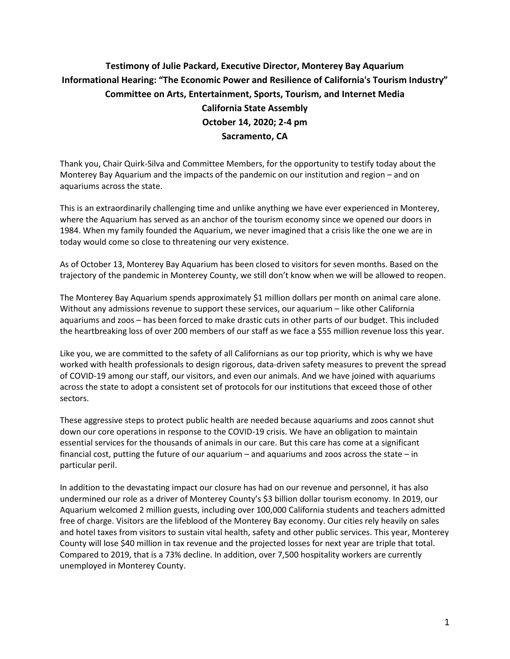## **Testimony of Julie Packard, Executive Director, Monterey Bay Aquarium Informational Hearing: "The Economic Power and Resilience of California's Tourism Industry" Committee on [Arts, Entertainment, Sports, Tourism, and Internet Media](https://aart.assembly.ca.gov/) California State Assembly October 14, 2020; 2-4 pm Sacramento, CA**

Thank you, Chair Quirk-Silva and Committee Members, for the opportunity to testify today about the Monterey Bay Aquarium and the impacts of the pandemic on our institution and region – and on aquariums across the state.

This is an extraordinarily challenging time and unlike anything we have ever experienced in Monterey, where the Aquarium has served as an anchor of the tourism economy since we opened our doors in 1984. When my family founded the Aquarium, we never imagined that a crisis like the one we are in today would come so close to threatening our very existence.

As of October 13, Monterey Bay Aquarium has been closed to visitors for seven months. Based on the trajectory of the pandemic in Monterey County, we still don't know when we will be allowed to reopen.

The Monterey Bay Aquarium spends approximately \$1 million dollars per month on animal care alone. Without any admissions revenue to support these services, our aquarium – like other California aquariums and zoos – has been forced to make drastic cuts in other parts of our budget. This included the heartbreaking loss of over 200 members of our staff as we face a \$55 million revenue loss this year.

Like you, we are committed to the safety of all Californians as our top priority, which is why we have worked with health professionals to design rigorous, data-driven safety measures to prevent the spread of COVID-19 among our staff, our visitors, and even our animals. And we have joined with aquariums across the state to adopt a consistent set of protocols for our institutions that exceed those of other sectors.

These aggressive steps to protect public health are needed because aquariums and zoos cannot shut down our core operations in response to the COVID-19 crisis. We have an obligation to maintain essential services for the thousands of animals in our care. But this care has come at a significant financial cost, putting the future of our aquarium  $-$  and aquariums and zoos across the state  $-$  in particular peril.

In addition to the devastating impact our closure has had on our revenue and personnel, it has also undermined our role as a driver of Monterey County's \$3 billion dollar tourism economy. In 2019, our Aquarium welcomed 2 million guests, including over 100,000 California students and teachers admitted free of charge. Visitors are the lifeblood of the Monterey Bay economy. Our cities rely heavily on sales and hotel taxes from visitors to sustain vital health, safety and other public services. This year, Monterey County will lose \$40 million in tax revenue and the projected losses for next year are triple that total. Compared to 2019, that is a 73% decline. In addition, over 7,500 hospitality workers are currently unemployed in Monterey County.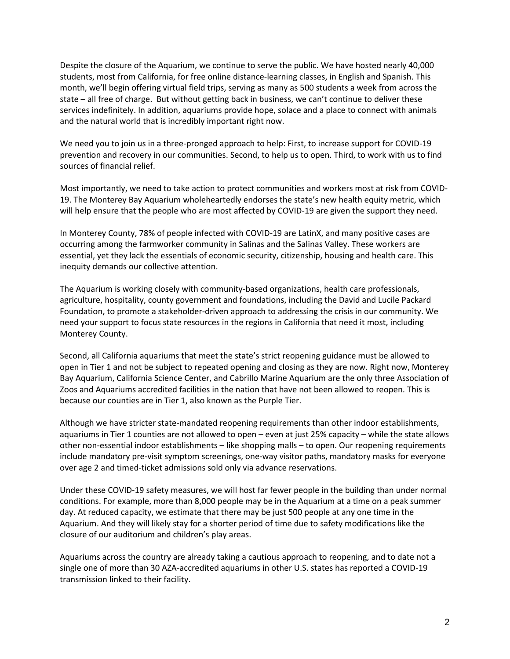Despite the closure of the Aquarium, we continue to serve the public. We have hosted nearly 40,000 students, most from California, for free online distance-learning classes, in English and Spanish. This month, we'll begin offering virtual field trips, serving as many as 500 students a week from across the state – all free of charge. But without getting back in business, we can't continue to deliver these services indefinitely. In addition, aquariums provide hope, solace and a place to connect with animals and the natural world that is incredibly important right now.

We need you to join us in a three-pronged approach to help: First, to increase support for COVID-19 prevention and recovery in our communities. Second, to help us to open. Third, to work with us to find sources of financial relief.

Most importantly, we need to take action to protect communities and workers most at risk from COVID-19. The Monterey Bay Aquarium wholeheartedly endorses the state's new health equity metric, which will help ensure that the people who are most affected by COVID-19 are given the support they need.

In Monterey County, 78% of people infected with COVID-19 are LatinX, and many positive cases are occurring among the farmworker community in Salinas and the Salinas Valley. These workers are essential, yet they lack the essentials of economic security, citizenship, housing and health care. This inequity demands our collective attention.

The Aquarium is working closely with community-based organizations, health care professionals, agriculture, hospitality, county government and foundations, including the David and Lucile Packard Foundation, to promote a stakeholder-driven approach to addressing the crisis in our community. We need your support to focus state resources in the regions in California that need it most, including Monterey County.

Second, all California aquariums that meet the state's strict reopening guidance must be allowed to open in Tier 1 and not be subject to repeated opening and closing as they are now. Right now, Monterey Bay Aquarium, California Science Center, and Cabrillo Marine Aquarium are the only three Association of Zoos and Aquariums accredited facilities in the nation that have not been allowed to reopen. This is because our counties are in Tier 1, also known as the Purple Tier.

Although we have stricter state-mandated reopening requirements than other indoor establishments, aquariums in Tier 1 counties are not allowed to open – even at just 25% capacity – while the state allows other non-essential indoor establishments – like shopping malls – to open. Our reopening requirements include mandatory pre-visit symptom screenings, one-way visitor paths, mandatory masks for everyone over age 2 and timed-ticket admissions sold only via advance reservations.

Under these COVID-19 safety measures, we will host far fewer people in the building than under normal conditions. For example, more than 8,000 people may be in the Aquarium at a time on a peak summer day. At reduced capacity, we estimate that there may be just 500 people at any one time in the Aquarium. And they will likely stay for a shorter period of time due to safety modifications like the closure of our auditorium and children's play areas.

Aquariums across the country are already taking a cautious approach to reopening, and to date not a single one of more than 30 AZA-accredited aquariums in other U.S. states has reported a COVID-19 transmission linked to their facility.